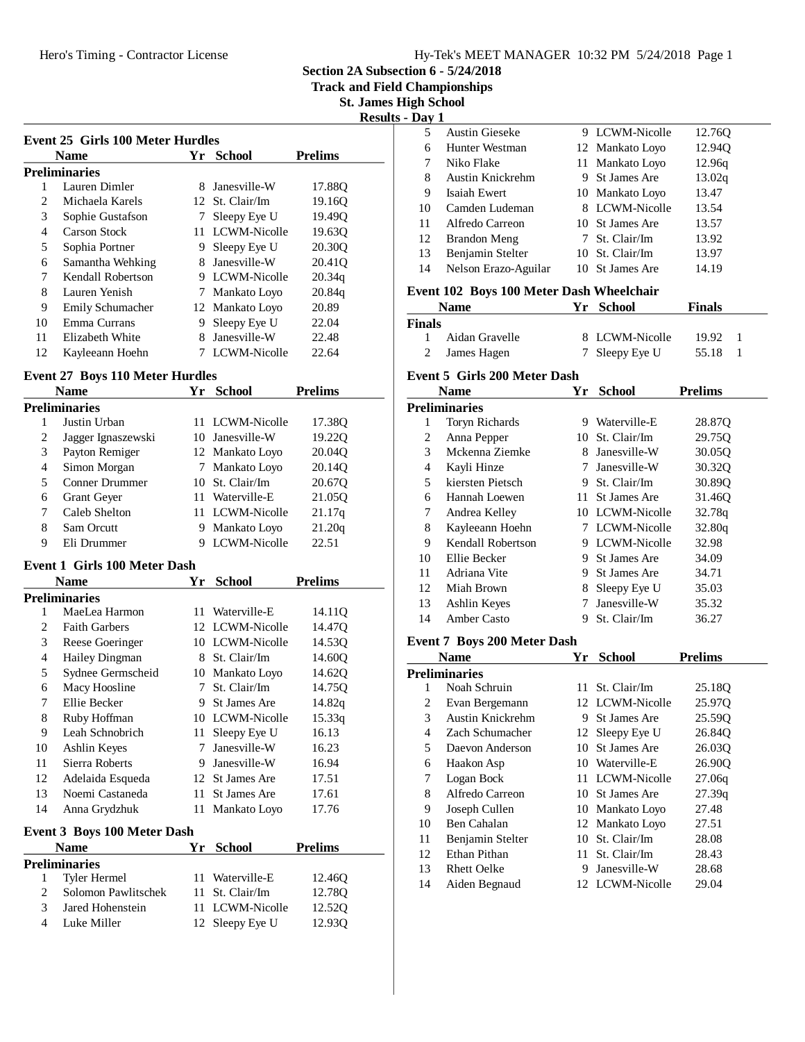**Section 2A Subsection 6 - 5/24/2018**

**Track and Field Championships**

**St. James High School Results - Day 1**

|    | <b>Name</b>       | Yr | <b>School</b>   | <b>Prelims</b>     |
|----|-------------------|----|-----------------|--------------------|
|    | Preliminaries     |    |                 |                    |
|    | Lauren Dimler     | 8  | Janesville-W    | 17.880             |
| 2  | Michaela Karels   |    | 12 St. Clair/Im | 19.160             |
| 3  | Sophie Gustafson  |    | Sleepy Eye U    | 19.490             |
| 4  | Carson Stock      | 11 | LCWM-Nicolle    | 19.630             |
| 5  | Sophia Portner    | 9  | Sleepy Eye U    | 20.30 <sub>O</sub> |
| 6  | Samantha Wehking  | 8  | Janesville-W    | 20.410             |
| 7  | Kendall Robertson |    | 9 LCWM-Nicolle  | 20.34q             |
| 8  | Lauren Yenish     |    | Mankato Loyo    | 20.84q             |
| 9  | Emily Schumacher  |    | 12 Mankato Loyo | 20.89              |
| 10 | Emma Currans      | 9  | Sleepy Eye U    | 22.04              |
| 11 | Elizabeth White   | 8  | Janesville-W    | 22.48              |
| 12 | Kayleeann Hoehn   |    | LCWM-Nicolle    | 22.64              |

### **Event 27 Boys 110 Meter Hurdles**

|   | Name               |     | Yr School       | <b>Prelims</b> |
|---|--------------------|-----|-----------------|----------------|
|   | Preliminaries      |     |                 |                |
|   | Justin Urban       | 11. | LCWM-Nicolle    | 17.38Q         |
| 2 | Jagger Ignaszewski |     | 10 Janesville-W | 19.220         |
| 3 | Payton Remiger     |     | 12 Mankato Loyo | 20.04Q         |
| 4 | Simon Morgan       |     | Mankato Lovo    | 20.140         |
| 5 | Conner Drummer     |     | 10 St. Clair/Im | 20.67Q         |
| 6 | <b>Grant Geyer</b> |     | Waterville-E    | 21.050         |
| 7 | Caleb Shelton      |     | 11 LCWM-Nicolle | 21.17q         |
| 8 | Sam Orcutt         | 9   | Mankato Loyo    | 21.20q         |
| 9 | Eli Drummer        |     | LCWM-Nicolle    | 22.51          |

### **Event 1 Girls 100 Meter Dash**

|                | Name                               | Yr | <b>School</b>   | <b>Prelims</b> |  |
|----------------|------------------------------------|----|-----------------|----------------|--|
|                | Preliminaries                      |    |                 |                |  |
| 1              | MaeLea Harmon                      | 11 | Waterville-E    | 14.11Q         |  |
| $\overline{c}$ | <b>Faith Garbers</b>               | 12 | LCWM-Nicolle    | 14.47Q         |  |
| 3              | Reese Goeringer                    |    | 10 LCWM-Nicolle | 14.53Q         |  |
| 4              | Hailey Dingman                     |    | 8 St. Clair/Im  | 14.60Q         |  |
| 5              | Sydnee Germscheid                  | 10 | Mankato Loyo    | 14.62Q         |  |
| 6              | Macy Hoosline                      | 7  | St. Clair/Im    | 14.75Q         |  |
| 7              | Ellie Becker                       | 9. | St James Are    | 14.82q         |  |
| 8              | Ruby Hoffman                       |    | 10 LCWM-Nicolle | 15.33q         |  |
| 9              | Leah Schnobrich                    | 11 | Sleepy Eye U    | 16.13          |  |
| 10             | Ashlin Keyes                       | 7  | Janesville-W    | 16.23          |  |
| 11             | Sierra Roberts                     | 9. | Janesville-W    | 16.94          |  |
| 12             | Adelaida Esqueda                   | 12 | St James Are    | 17.51          |  |
| 13             | Noemi Castaneda                    | 11 | St James Are    | 17.61          |  |
| 14             | Anna Grydzhuk                      | 11 | Mankato Loyo    | 17.76          |  |
|                | <b>Event 3 Boys 100 Meter Dash</b> |    |                 |                |  |
|                | <b>Name</b>                        | Yr | <b>School</b>   | <b>Prelims</b> |  |
|                | Preliminaries                      |    |                 |                |  |
| 1              | Tyler Hermel                       |    | 11 Waterville-E | 12.46Q         |  |
| 2              | Solomon Pawlitschek                | 11 | St. Clair/Im    | 12.78Q         |  |
| 3              | Jared Hohenstein                   | 11 | LCWM-Nicolle    | 12.52Q         |  |
| 4              | Luke Miller                        |    | 12 Sleepy Eye U | 12.93Q         |  |
|                |                                    |    |                 |                |  |

| Dav 1 |                       |                 |        |  |
|-------|-----------------------|-----------------|--------|--|
| 5     | <b>Austin Gieseke</b> | 9 LCWM-Nicolle  | 12.76Q |  |
| 6     | Hunter Westman        | 12 Mankato Loyo | 12.940 |  |
| 7     | Niko Flake            | 11 Mankato Loyo | 12.96q |  |
| 8     | Austin Knickrehm      | 9 St James Are  | 13.02q |  |
| 9     | Isaiah Ewert          | 10 Mankato Loyo | 13.47  |  |
| 10    | Camden Ludeman        | 8 LCWM-Nicolle  | 13.54  |  |
| 11    | Alfredo Carreon       | 10 St James Are | 13.57  |  |
| 12    | Brandon Meng          | 7 St. Clair/Im  | 13.92  |  |
| 13    | Benjamin Stelter      | 10 St. Clair/Im | 13.97  |  |
| 14    | Nelson Erazo-Aguilar  | 10 St James Are | 14.19  |  |
|       |                       |                 |        |  |

# **Event 102 Boys 100 Meter Dash Wheelchair**

|               | <b>Name</b>    | Yr School      | <b>Finals</b> |  |
|---------------|----------------|----------------|---------------|--|
| <b>Finals</b> |                |                |               |  |
| $\mathbf{1}$  | Aidan Gravelle | 8 LCWM-Nicolle | 19.92         |  |
| 2             | James Hagen    | 7 Sleepy Eye U | 55.18         |  |

### **Event 5 Girls 200 Meter Dash**

|    | Name              | Yr | <b>School</b>       | <b>Prelims</b> |
|----|-------------------|----|---------------------|----------------|
|    | Preliminaries     |    |                     |                |
| 1  | Toryn Richards    | 9  | Waterville-E        | 28.87Q         |
| 2  | Anna Pepper       | 10 | St. Clair/Im        | 29.75O         |
| 3  | Mckenna Ziemke    | 8  | Janesville-W        | 30.05Q         |
| 4  | Kayli Hinze       | 7  | Janesville-W        | 30.32Q         |
| 5  | kiersten Pietsch  | 9. | St. Clair/Im        | 30.89Q         |
| 6  | Hannah Loewen     | 11 | <b>St James Are</b> | 31.46O         |
| 7  | Andrea Kelley     |    | 10 LCWM-Nicolle     | 32.78q         |
| 8  | Kayleeann Hoehn   | 7  | LCWM-Nicolle        | 32.80q         |
| 9  | Kendall Robertson | 9. | LCWM-Nicolle        | 32.98          |
| 10 | Ellie Becker      | 9. | St James Are        | 34.09          |
| 11 | Adriana Vite      | 9. | St James Are        | 34.71          |
| 12 | Miah Brown        | 8  | Sleepy Eye U        | 35.03          |
| 13 | Ashlin Keyes      | 7  | Janesville-W        | 35.32          |
| 14 | Amber Casto       | 9  | St. Clair/Im        | 36.27          |

#### **Event 7 Boys 200 Meter Dash**

|                | Name               | Yr  | <b>School</b>   | <b>Prelims</b> |
|----------------|--------------------|-----|-----------------|----------------|
|                | Preliminaries      |     |                 |                |
|                | Noah Schruin       | 11. | St. Clair/Im    | 25.18O         |
| 2              | Evan Bergemann     |     | 12 LCWM-Nicolle | 25.97Q         |
| 3              | Austin Knickrehm   | 9.  | St James Are    | 25.59Q         |
| $\overline{4}$ | Zach Schumacher    |     | 12 Sleepy Eye U | 26.84Q         |
| 5              | Daevon Anderson    | 10. | St James Are    | 26.030         |
| 6              | Haakon Asp         |     | 10 Waterville-E | 26.90Q         |
| 7              | Logan Bock         | 11  | LCWM-Nicolle    | 27.06q         |
| 8              | Alfredo Carreon    |     | 10 St James Are | 27.39q         |
| 9              | Joseph Cullen      |     | 10 Mankato Loyo | 27.48          |
| 10             | <b>Ben Cahalan</b> |     | 12 Mankato Loyo | 27.51          |
| 11             | Benjamin Stelter   |     | 10 St. Clair/Im | 28.08          |
| 12             | Ethan Pithan       |     | 11 St. Clair/Im | 28.43          |
| 13             | <b>Rhett Oelke</b> | 9   | Janesville-W    | 28.68          |
| 14             | Aiden Begnaud      |     | 12 LCWM-Nicolle | 29.04          |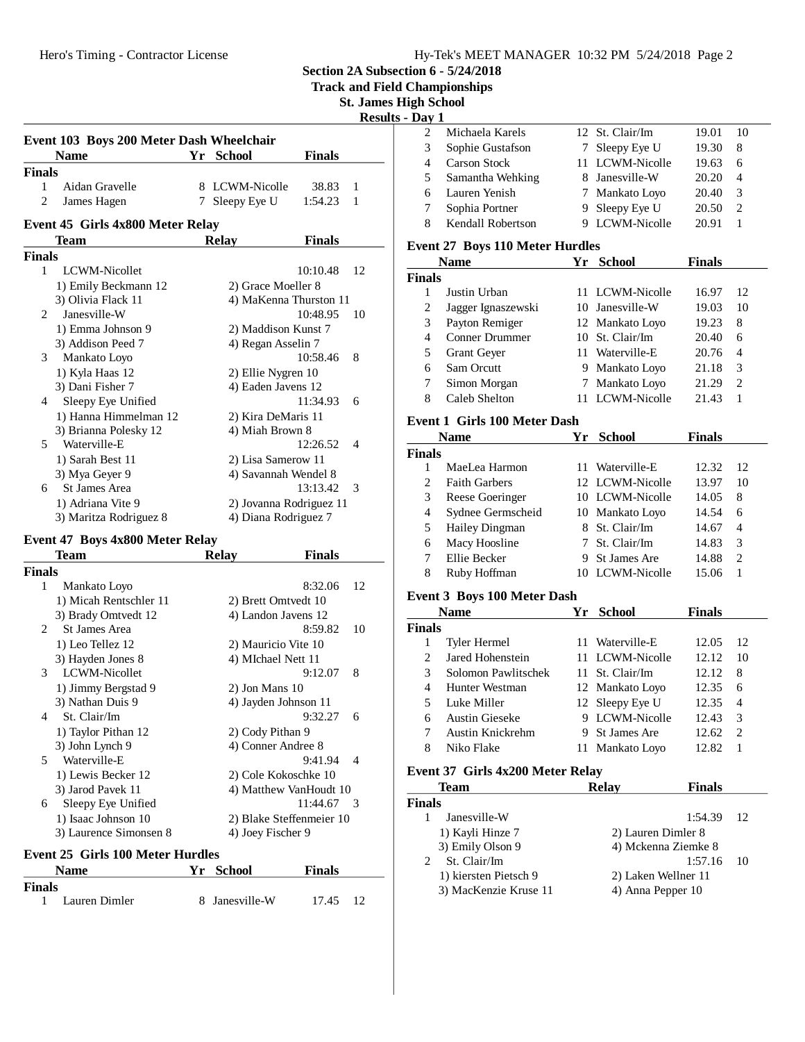**Section 2A Subsection 6 - 5/24/2018**

**Track and Field Championships**

**St. James High School**

**Results - D** 

|               | Event 103 Boys 200 Meter Dash Wheelchair<br><b>Name</b> |   | Yr School                                     | <b>Finals</b> |    |
|---------------|---------------------------------------------------------|---|-----------------------------------------------|---------------|----|
| <b>Finals</b> |                                                         |   |                                               |               |    |
| 1             | Aidan Gravelle                                          |   | 8 LCWM-Nicolle                                | 38.83         | 1  |
| 2             | James Hagen                                             | 7 | Sleepy Eye U                                  | 1:54.23       | 1  |
|               |                                                         |   |                                               |               |    |
|               | Event 45 Girls 4x800 Meter Relay                        |   |                                               |               |    |
|               | <b>Team</b>                                             |   | <b>Relay</b>                                  | <b>Finals</b> |    |
| <b>Finals</b> |                                                         |   |                                               |               |    |
| $\mathbf{1}$  | LCWM-Nicollet                                           |   |                                               | 10:10.48      | 12 |
|               | 1) Emily Beckmann 12                                    |   | 2) Grace Moeller 8                            |               |    |
|               | 3) Olivia Flack 11                                      |   | 4) MaKenna Thurston 11                        |               |    |
| 2             | Janesville-W                                            |   |                                               | 10:48.95      | 10 |
|               | 1) Emma Johnson 9                                       |   | 2) Maddison Kunst 7                           |               |    |
|               | 3) Addison Peed 7                                       |   | 4) Regan Asselin 7                            |               |    |
| 3             | Mankato Loyo                                            |   |                                               | 10:58.46      | 8  |
|               | 1) Kyla Haas 12                                         |   | 2) Ellie Nygren 10                            |               |    |
|               | 3) Dani Fisher 7                                        |   | 4) Eaden Javens 12                            |               |    |
| 4             | Sleepy Eye Unified                                      |   |                                               | 11:34.93      | 6  |
|               | 1) Hanna Himmelman 12                                   |   | 2) Kira DeMaris 11                            |               |    |
|               | 3) Brianna Polesky 12                                   |   | 4) Miah Brown 8                               |               |    |
|               | 5 Waterville-E                                          |   |                                               | 12:26.52      | 4  |
|               | 1) Sarah Best 11                                        |   | 2) Lisa Samerow 11                            |               |    |
|               | 3) Mya Geyer 9                                          |   | 4) Savannah Wendel 8                          |               |    |
| 6             | St James Area                                           |   |                                               | 13:13.42      | 3  |
|               | 1) Adriana Vite 9                                       |   | 2) Jovanna Rodriguez 11                       |               |    |
|               |                                                         |   |                                               |               |    |
|               | 3) Maritza Rodriguez 8                                  |   | 4) Diana Rodriguez 7                          |               |    |
|               |                                                         |   |                                               |               |    |
|               | Event 47 Boys 4x800 Meter Relay                         |   |                                               |               |    |
|               | Team                                                    |   | <b>Relay</b>                                  | <b>Finals</b> |    |
| <b>Finals</b> |                                                         |   |                                               |               |    |
| $\mathbf{1}$  | Mankato Loyo                                            |   |                                               | 8:32.06       | 12 |
|               | 1) Micah Rentschler 11                                  |   | 2) Brett Omtvedt 10                           |               |    |
|               | 3) Brady Omtvedt 12                                     |   | 4) Landon Javens 12                           |               |    |
| 2             | <b>St James Area</b>                                    |   |                                               | 8:59.82       | 10 |
|               | 1) Leo Tellez 12                                        |   | 2) Mauricio Vite 10                           |               |    |
|               | 3) Hayden Jones 8                                       |   | 4) MIchael Nett 11                            |               |    |
| 3             | LCWM-Nicollet                                           |   |                                               | 9:12.07       | 8  |
|               | 1) Jimmy Bergstad 9                                     |   | $2)$ Jon Mans $10$                            |               |    |
|               | 3) Nathan Duis 9                                        |   | 4) Jayden Johnson 11                          |               |    |
| 4             | St. Clair/Im                                            |   |                                               | 9:32.27       | 6  |
|               | 1) Taylor Pithan 12                                     |   | 2) Cody Pithan 9                              |               |    |
|               | 3) John Lynch 9                                         |   | 4) Conner Andree 8                            |               |    |
| 5             | Waterville-E                                            |   |                                               | 9:41.94       | 4  |
|               | 1) Lewis Becker 12                                      |   | 2) Cole Kokoschke 10                          |               |    |
|               | 3) Jarod Pavek 11                                       |   | 4) Matthew VanHoudt 10                        |               |    |
| 6             | Sleepy Eye Unified                                      |   |                                               | 11:44.67      | 3  |
|               | 1) Isaac Johnson 10<br>3) Laurence Simonsen 8           |   | 2) Blake Steffenmeier 10<br>4) Joey Fischer 9 |               |    |

| Name                           | Yr School      | <b>Finals</b> |
|--------------------------------|----------------|---------------|
| <b>Finals</b><br>Lauren Dimler | 8 Janesville-W | 17.45<br>12   |

|   | Michaela Karels   |   | 12 St. Clair/Im | 19.01 | 10                          |  |
|---|-------------------|---|-----------------|-------|-----------------------------|--|
|   | Sophie Gustafson  | 7 | Sleepy Eye U    | 19.30 | 8                           |  |
|   | Carson Stock      |   | 11 LCWM-Nicolle | 19.63 | 6                           |  |
| 5 | Samantha Wehking  |   | 8 Janesville-W  | 20.20 | 4                           |  |
| 6 | Lauren Yenish     |   | 7 Mankato Loyo  | 20.40 | 3                           |  |
|   | Sophia Portner    |   | Sleepy Eye U    | 20.50 | $\mathcal{D}_{\mathcal{L}}$ |  |
| 8 | Kendall Robertson |   | LCWM-Nicolle    | 20.91 |                             |  |
|   |                   |   |                 |       |                             |  |

### **Event 27 Boys 110 Meter Hurdles**

|               | Name                                             | Yг | School          | <b>Finals</b> |    |
|---------------|--------------------------------------------------|----|-----------------|---------------|----|
| <b>Finals</b> |                                                  |    |                 |               |    |
|               | Justin Urban                                     |    | 11 LCWM-Nicolle | 16.97         | 12 |
| 2             | Jagger Ignaszewski                               |    | 10 Janesville-W | 19.03         | 10 |
| 3             | Payton Remiger                                   |    | 12 Mankato Loyo | 19.23         | 8  |
| 4             | Conner Drummer                                   |    | 10 St. Clair/Im | 20.40         | 6  |
| 5             | <b>Grant Geyer</b>                               |    | 11 Waterville-E | 20.76         | 4  |
| 6             | Sam Orcutt                                       | 9  | Mankato Loyo    | 21.18         | 3  |
| 7             | Simon Morgan                                     | 7  | Mankato Loyo    | 21.29         | 2  |
| 8             | Caleb Shelton                                    |    | 11 LCWM-Nicolle | 21.43         |    |
|               | $\sim$ $\sim$ $\sim$ $\sim$ $\sim$ $\sim$ $\sim$ |    |                 |               |    |

### **Event 1 Girls 100 Meter Dash**

|                             | <b>Name</b>           | Yr. | <b>School</b>   | Finals |                |
|-----------------------------|-----------------------|-----|-----------------|--------|----------------|
| <b>Finals</b>               |                       |     |                 |        |                |
|                             | MaeLea Harmon         |     | 11 Waterville-E | 12.32  | 12             |
| $\mathcal{D}_{\mathcal{L}}$ | <b>Faith Garbers</b>  |     | 12 LCWM-Nicolle | 13.97  | 10             |
| 3                           | Reese Goeringer       |     | 10 LCWM-Nicolle | 14.05  | 8              |
| 4                           | Sydnee Germscheid     |     | 10 Mankato Loyo | 14.54  | 6              |
| 5                           | <b>Hailey Dingman</b> |     | 8 St. Clair/Im  | 14.67  | $\overline{4}$ |
| 6                           | Macy Hoosline         |     | 7 St. Clair/Im  | 14.83  | 3              |
|                             | Ellie Becker          | 9   | St James Are    | 14.88  | $\mathfrak{D}$ |
| 8                           | Ruby Hoffman          |     | LCWM-Nicolle    | 15.06  |                |

## **Event 3 Boys 100 Meter Dash**

| <b>Name</b>                 |                       | Yг | School          | Finals |                             |
|-----------------------------|-----------------------|----|-----------------|--------|-----------------------------|
| <b>Finals</b>               |                       |    |                 |        |                             |
|                             | Tyler Hermel          | 11 | Waterville-E    | 12.05  | 12                          |
| $\mathcal{D}_{\mathcal{L}}$ | Jared Hohenstein      |    | 11 LCWM-Nicolle | 12.12  | 10                          |
| 3                           | Solomon Pawlitschek   |    | 11 St. Clair/Im | 12.12. | 8                           |
| 4                           | Hunter Westman        |    | 12 Mankato Loyo | 12.35  | 6                           |
| 5                           | Luke Miller           |    | 12 Sleepy Eye U | 12.35  | $\overline{\mathcal{A}}$    |
| 6                           | <b>Austin Gieseke</b> |    | 9 LCWM-Nicolle  | 12.43  | 3                           |
|                             | Austin Knickrehm      |    | 9 St James Are  | 12.62  | $\mathcal{D}_{\mathcal{L}}$ |
| 8                           | Niko Flake            |    | 11 Mankato Loyo | 12.82  |                             |

#### **Event 37 Girls 4x200 Meter Relay**

| <b>Team</b>                                 | <b>Relay</b> | <b>Finals</b>       |    |
|---------------------------------------------|--------------|---------------------|----|
| <b>Finals</b>                               |              |                     |    |
| Janesville-W                                |              | 1:54.39             | 12 |
| 1) Kayli Hinze 7                            |              | 2) Lauren Dimler 8  |    |
| 3) Emily Olson 9                            |              | 4) Mckenna Ziemke 8 |    |
| St. Clair/Im<br>$\mathcal{D}_{\mathcal{L}}$ |              | 1:57.16             | 10 |
| 1) kiersten Pietsch 9                       |              | 2) Laken Wellner 11 |    |
| 3) MacKenzie Kruse 11                       |              | 4) Anna Pepper 10   |    |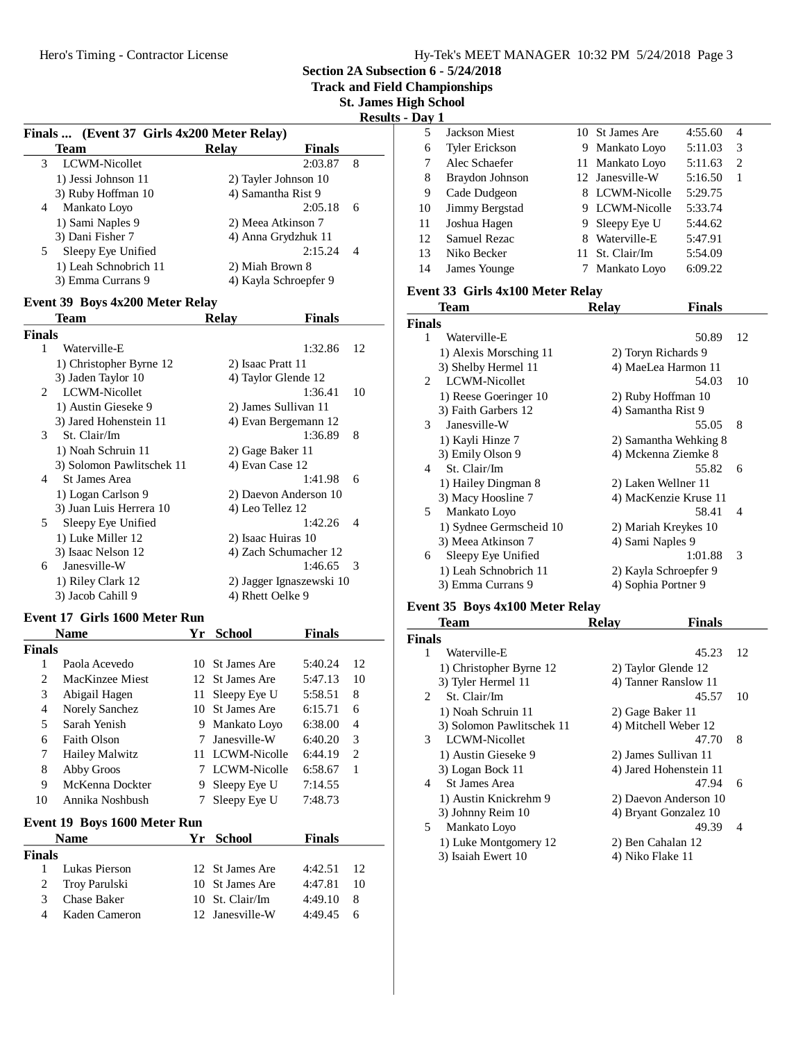**Section 2A Subsection 6 - 5/24/2018**

**Track and Field Championships**

**St. James High School**

**Results - Day 1**

|                                            |                    |                       | -----          |
|--------------------------------------------|--------------------|-----------------------|----------------|
| Finals  (Event 37 Girls 4x200 Meter Relay) |                    |                       |                |
| <b>Team</b>                                | <b>Relay</b>       | <b>Finals</b>         |                |
| LCWM-Nicollet<br>3                         |                    | 2:03.87               | 8              |
| 1) Jessi Johnson 11                        |                    | 2) Tayler Johnson 10  |                |
| 3) Ruby Hoffman 10                         | 4) Samantha Rist 9 |                       |                |
| Mankato Loyo<br>4                          |                    | 2:05.18               | 6              |
| 1) Sami Naples 9                           |                    | 2) Meea Atkinson 7    |                |
| 3) Dani Fisher 7                           |                    | 4) Anna Grydzhuk 11   |                |
| Sleepy Eye Unified<br>5                    |                    | 2:15.24               | $\overline{4}$ |
| 1) Leah Schnobrich 11                      | 2) Miah Brown 8    |                       |                |
| 3) Emma Currans 9                          |                    | 4) Kayla Schroepfer 9 |                |
|                                            |                    |                       |                |

#### **Event 39 Boys 4x200 Meter Relay**

|                             | Team                      | Relav                | Finals                   |                |
|-----------------------------|---------------------------|----------------------|--------------------------|----------------|
| <b>Finals</b>               |                           |                      |                          |                |
| 1                           | Waterville-E              |                      | 1:32.86                  | 12             |
|                             | 1) Christopher Byrne 12   | 2) Isaac Pratt 11    |                          |                |
|                             | 3) Jaden Taylor 10        | 4) Taylor Glende 12  |                          |                |
| $\mathcal{D}_{\mathcal{L}}$ | LCWM-Nicollet             |                      | 1:36.41                  | 10             |
|                             | 1) Austin Gieseke 9       | 2) James Sullivan 11 |                          |                |
|                             | 3) Jared Hohenstein 11    |                      | 4) Evan Bergemann 12     |                |
| 3                           | St. Clair/Im              |                      | 1:36.89                  | 8              |
|                             | 1) Noah Schruin 11        | 2) Gage Baker 11     |                          |                |
|                             | 3) Solomon Pawlitschek 11 | 4) Evan Case 12      |                          |                |
| 4                           | St James Area             |                      | 1:41.98                  | 6              |
|                             | 1) Logan Carlson 9        |                      | 2) Daevon Anderson 10    |                |
|                             | 3) Juan Luis Herrera 10   | 4) Leo Tellez 12     |                          |                |
| 5.                          | Sleepy Eye Unified        |                      | 1:42.26                  | $\overline{4}$ |
|                             | 1) Luke Miller 12         | 2) Isaac Huiras 10   |                          |                |
|                             | 3) Isaac Nelson 12        |                      | 4) Zach Schumacher 12    |                |
| 6                           | Janesville-W              |                      | 1:46.65                  | $\mathcal{R}$  |
|                             | 1) Riley Clark 12         |                      | 2) Jagger Ignaszewski 10 |                |
|                             | 3) Jacob Cahill 9         | 4) Rhett Oelke 9     |                          |                |

#### **Event 17 Girls 1600 Meter Run**

|                       | Name                         | Yr | <b>School</b>       | Finals  |    |
|-----------------------|------------------------------|----|---------------------|---------|----|
| <b>Finals</b>         |                              |    |                     |         |    |
| 1                     | Paola Acevedo                | 10 | St James Are        | 5:40.24 | 12 |
| $\mathcal{D}_{\cdot}$ | MacKinzee Miest              | 12 | St James Are        | 5:47.13 | 10 |
| 3                     | Abigail Hagen                | 11 | Sleepy Eye U        | 5:58.51 | 8  |
| 4                     | Norely Sanchez               | 10 | St James Are        | 6:15.71 | 6  |
| 5                     | Sarah Yenish                 | 9  | Mankato Loyo        | 6:38.00 | 4  |
| 6                     | Faith Olson                  | 7  | Janesville-W        | 6:40.20 | 3  |
| 7                     | <b>Hailey Malwitz</b>        | 11 | LCWM-Nicolle        | 6:44.19 | 2  |
| 8                     | Abby Groos                   | 7  | LCWM-Nicolle        | 6:58.67 | 1  |
| 9                     | McKenna Dockter              | 9  | Sleepy Eye U        | 7:14.55 |    |
| 10                    | Annika Noshbush              | 7  | Sleepy Eye U        | 7:48.73 |    |
|                       | Event 19 Boys 1600 Meter Run |    |                     |         |    |
|                       | <b>Name</b>                  | Yr | School              | Finals  |    |
| <b>Finals</b>         |                              |    |                     |         |    |
| 1                     | Lukas Pierson                |    | 12 St James Are     | 4:42.51 | 12 |
| 2                     | Troy Parulski                | 10 | <b>St James Are</b> | 4:47.81 | 10 |
| 3                     | <b>Chase Baker</b>           | 10 | St. Clair/Im        | 4:49.10 | 8  |
| 4                     | Kaden Cameron                |    | 12 Janesville-W     | 4:49.45 | 6  |

| ми 1 |                       |   |                 |         |   |  |
|------|-----------------------|---|-----------------|---------|---|--|
| 5    | Jackson Miest         |   | 10 St James Are | 4:55.60 | 4 |  |
| 6    | <b>Tyler Erickson</b> |   | 9 Mankato Loyo  | 5:11.03 | 3 |  |
|      | Alec Schaefer         |   | 11 Mankato Loyo | 5:11.63 | 2 |  |
| 8    | Braydon Johnson       |   | 12 Janesville-W | 5:16.50 | 1 |  |
| 9    | Cade Dudgeon          |   | 8 LCWM-Nicolle  | 5:29.75 |   |  |
| 10   | Jimmy Bergstad        |   | 9 LCWM-Nicolle  | 5:33.74 |   |  |
| 11   | Joshua Hagen          |   | 9 Sleepy Eye U  | 5:44.62 |   |  |
| 12   | <b>Samuel Rezac</b>   | 8 | Waterville-E    | 5:47.91 |   |  |
| 13   | Niko Becker           |   | 11 St. Clair/Im | 5:54.09 |   |  |
| 14   | James Younge          |   | Mankato Loyo    | 6:09.22 |   |  |

#### **Event 33 Girls 4x100 Meter Relay**

|                             | Team                          | Relav | <b>Finals</b>         |                          |
|-----------------------------|-------------------------------|-------|-----------------------|--------------------------|
| <b>Finals</b>               |                               |       |                       |                          |
| 1                           | Waterville-E                  |       | 50.89                 | 12                       |
|                             | 1) Alexis Morsching 11        |       | 2) Toryn Richards 9   |                          |
|                             | 3) Shelby Hermel 11           |       | 4) MaeLea Harmon 11   |                          |
| $\mathcal{D}_{\mathcal{L}}$ | LCWM-Nicollet                 |       | 54.03                 | 10                       |
|                             | 1) Reese Goeringer 10         |       | 2) Ruby Hoffman 10    |                          |
|                             | 3) Faith Garbers 12           |       | 4) Samantha Rist 9    |                          |
|                             | Janesville-W<br>$\mathcal{E}$ |       | 55.05                 | 8                        |
|                             | 1) Kayli Hinze 7              |       | 2) Samantha Wehking 8 |                          |
|                             | 3) Emily Olson 9              |       | 4) Mckenna Ziemke 8   |                          |
| 4                           | St. Clair/Im                  |       | 55.82                 | 6                        |
|                             | 1) Hailey Dingman 8           |       | 2) Laken Wellner 11   |                          |
|                             | 3) Macy Hoosline 7            |       | 4) MacKenzie Kruse 11 |                          |
| 5                           | Mankato Loyo                  |       | 58.41                 | $\overline{\mathcal{A}}$ |
|                             | 1) Sydnee Germscheid 10       |       | 2) Mariah Kreykes 10  |                          |
|                             | 3) Meea Atkinson 7            |       | 4) Sami Naples 9      |                          |
| 6                           | Sleepy Eye Unified            |       | 1:01.88               | 3                        |
|                             | 1) Leah Schnobrich 11         |       | 2) Kayla Schroepfer 9 |                          |
|                             | 3) Emma Currans 9             |       | 4) Sophia Portner 9   |                          |
|                             |                               |       |                       |                          |

### **Event 35 Boys 4x100 Meter Relay**

|               | Team                      | <b>Relay</b>     | <b>Finals</b>          |    |
|---------------|---------------------------|------------------|------------------------|----|
| <b>Finals</b> |                           |                  |                        |    |
| 1             | Waterville-E              |                  | 45.23                  | 12 |
|               | 1) Christopher Byrne 12   |                  | 2) Taylor Glende 12    |    |
|               | 3) Tyler Hermel 11        |                  | 4) Tanner Ranslow 11   |    |
| $\mathcal{L}$ | St. Clair/Im              |                  | 45.57                  | 10 |
|               | 1) Noah Schruin 11        |                  | 2) Gage Baker 11       |    |
|               | 3) Solomon Pawlitschek 11 |                  | 4) Mitchell Weber 12   |    |
| 3             | LCWM-Nicollet             |                  | 47.70                  | 8  |
|               | 1) Austin Gieseke 9       |                  | 2) James Sullivan 11   |    |
|               | 3) Logan Bock 11          |                  | 4) Jared Hohenstein 11 |    |
| 4             | St James Area             |                  | 47.94                  | 6  |
|               | 1) Austin Knickrehm 9     |                  | 2) Daevon Anderson 10  |    |
|               | 3) Johnny Reim 10         |                  | 4) Bryant Gonzalez 10  |    |
| 5             | Mankato Loyo              |                  | 49.39                  | 4  |
|               | 1) Luke Montgomery 12     |                  | 2) Ben Cahalan 12      |    |
|               | 3) Isaiah Ewert 10        | 4) Niko Flake 11 |                        |    |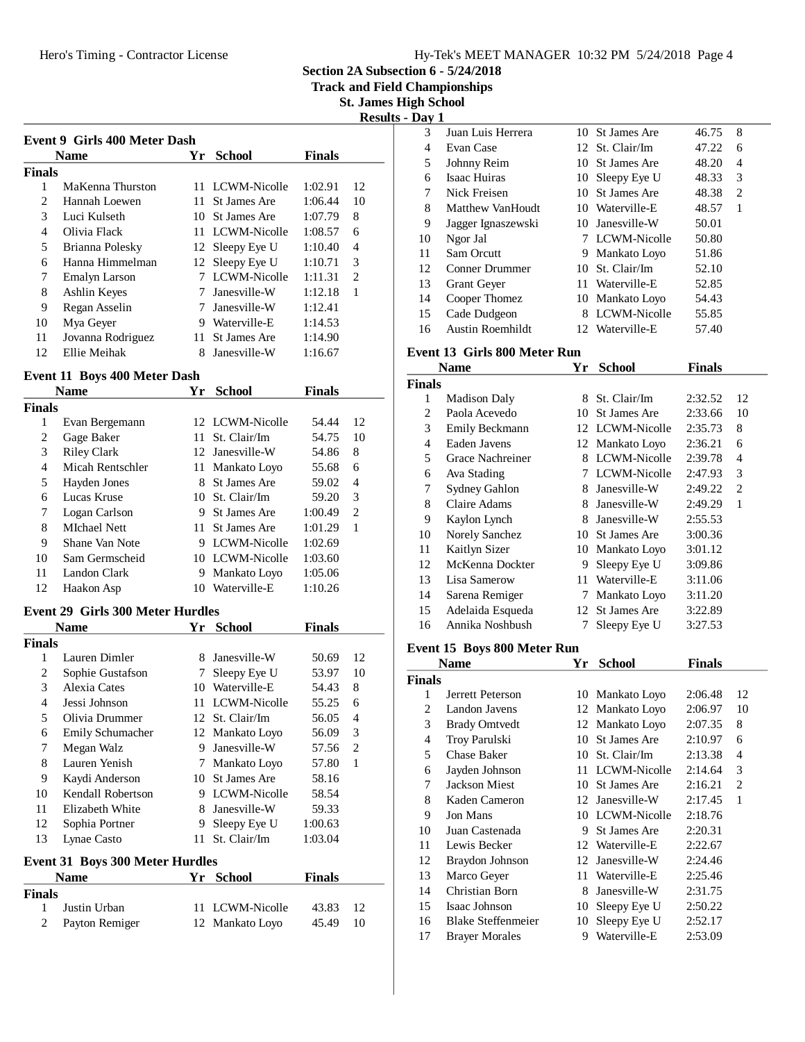**Section 2A Subsection 6 - 5/24/2018**

**Track and Field Championships**

**St. James High School Results - Day 1**

|                       | <b>Event 9 Girls 400 Meter Dash</b><br><b>Name</b> | Yr  | <b>School</b>   | <b>Finals</b> |                |
|-----------------------|----------------------------------------------------|-----|-----------------|---------------|----------------|
| <b>Finals</b>         |                                                    |     |                 |               |                |
| 1                     | MaKenna Thurston                                   |     | 11 LCWM-Nicolle | 1:02.91       | 12             |
| $\mathcal{D}_{\cdot}$ | Hannah Loewen                                      | 11. | St James Are    | 1:06.44       | 10             |
| 3                     | Luci Kulseth                                       | 10. | St James Are    | 1:07.79       | 8              |
| 4                     | Olivia Flack                                       |     | 11 LCWM-Nicolle | 1:08.57       | 6              |
| 5                     | Brianna Polesky                                    |     | 12 Sleepy Eye U | 1:10.40       | 4              |
| 6                     | Hanna Himmelman                                    |     | 12 Sleepy Eye U | 1:10.71       | 3              |
| 7                     | Emalyn Larson                                      |     | LCWM-Nicolle    | 1:11.31       | $\overline{c}$ |
| 8                     | Ashlin Keyes                                       |     | Janesville-W    | 1:12.18       | 1              |
| 9                     | Regan Asselin                                      |     | Janesville-W    | 1:12.41       |                |
| 10                    | Mya Geyer                                          | 9   | Waterville-E    | 1:14.53       |                |
| 11                    | Jovanna Rodriguez                                  | 11  | St James Are    | 1:14.90       |                |
| 12                    | Ellie Meihak                                       | 8   | Janesville-W    | 1:16.67       |                |

### **Event 11 Boys 400 Meter Dash**

| <b>Name</b>   |                     | Yг  | <b>School</b>   | <b>Finals</b> |               |
|---------------|---------------------|-----|-----------------|---------------|---------------|
| <b>Finals</b> |                     |     |                 |               |               |
| 1             | Evan Bergemann      |     | 12 LCWM-Nicolle | 54.44         | 12            |
| 2             | Gage Baker          | 11. | St. Clair/Im    | 54.75         | 10            |
| 3             | <b>Riley Clark</b>  |     | 12 Janesville-W | 54.86         | 8             |
| 4             | Micah Rentschler    | 11  | Mankato Loyo    | 55.68         | 6             |
| 5             | Hayden Jones        | 8   | St James Are    | 59.02         | 4             |
| 6             | Lucas Kruse         |     | 10 St. Clair/Im | 59.20         | 3             |
| 7             | Logan Carlson       | 9   | St James Are    | 1:00.49       | $\mathcal{L}$ |
| 8             | <b>MIchael Nett</b> | 11. | St James Are    | 1:01.29       | 1             |
| 9             | Shane Van Note      | 9   | LCWM-Nicolle    | 1:02.69       |               |
| 10            | Sam Germscheid      |     | 10 LCWM-Nicolle | 1:03.60       |               |
| 11            | Landon Clark        | 9   | Mankato Loyo    | 1:05.06       |               |
| 12            | Haakon Asp          | 10  | Waterville-E    | 1:10.26       |               |

#### **Event 29 Girls 300 Meter Hurdles**

|        | <b>Name</b>         | Yr. | <b>School</b>   | <b>Finals</b> |    |
|--------|---------------------|-----|-----------------|---------------|----|
| Finals |                     |     |                 |               |    |
|        | Lauren Dimler       | 8   | Janesville-W    | 50.69         | 12 |
| 2      | Sophie Gustafson    |     | Sleepy Eye U    | 53.97         | 10 |
| 3      | <b>Alexia Cates</b> | 10  | Waterville-E    | 54.43         | 8  |
| 4      | Jessi Johnson       | 11  | LCWM-Nicolle    | 55.25         | 6  |
| 5      | Olivia Drummer      |     | 12 St. Clair/Im | 56.05         | 4  |
| 6      | Emily Schumacher    |     | 12 Mankato Loyo | 56.09         | 3  |
| 7      | Megan Walz          | 9   | Janesville-W    | 57.56         | 2  |
| 8      | Lauren Yenish       |     | 7 Mankato Loyo  | 57.80         | 1  |
| 9      | Kaydi Anderson      |     | 10 St James Are | 58.16         |    |
| 10     | Kendall Robertson   | 9   | LCWM-Nicolle    | 58.54         |    |
| 11     | Elizabeth White     | 8   | Janesville-W    | 59.33         |    |
| 12     | Sophia Portner      | 9   | Sleepy Eye U    | 1:00.63       |    |
| 13     | Lynae Casto         | 11. | St. Clair/Im    | 1:03.04       |    |
|        |                     |     |                 |               |    |

#### **Event 31 Boys 300 Meter Hurdles**

| <b>Name</b>   |                | Yr School       | <b>Finals</b> |    |
|---------------|----------------|-----------------|---------------|----|
| <b>Finals</b> |                |                 |               |    |
| $\mathbf{1}$  | Justin Urban   | 11 LCWM-Nicolle | 43.83         | 12 |
| 2             | Payton Remiger | 12 Mankato Loyo | 45.49 10      |    |

| Vav | $\mathbf{I}$            |     |                 |       |   |  |
|-----|-------------------------|-----|-----------------|-------|---|--|
| 3   | Juan Luis Herrera       |     | 10 St James Are | 46.75 | 8 |  |
| 4   | Evan Case               |     | 12 St. Clair/Im | 47.22 | 6 |  |
| 5   | Johnny Reim             |     | 10 St James Are | 48.20 | 4 |  |
| 6   | Isaac Huiras            |     | 10 Sleepy Eye U | 48.33 | 3 |  |
| 7   | Nick Freisen            | 10. | St James Are    | 48.38 | 2 |  |
| 8   | Matthew VanHoudt        |     | 10 Waterville-E | 48.57 | 1 |  |
| 9   | Jagger Ignaszewski      | 10. | Janesville-W    | 50.01 |   |  |
| 10  | Ngor Jal                |     | 7 LCWM-Nicolle  | 50.80 |   |  |
| 11  | Sam Orcutt              |     | 9 Mankato Loyo  | 51.86 |   |  |
| 12  | Conner Drummer          |     | 10 St. Clair/Im | 52.10 |   |  |
| 13  | <b>Grant Geyer</b>      | 11  | Waterville-E    | 52.85 |   |  |
| 14  | Cooper Thomez           | 10  | Mankato Loyo    | 54.43 |   |  |
| 15  | Cade Dudgeon            | 8   | LCWM-Nicolle    | 55.85 |   |  |
| 16  | <b>Austin Roemhildt</b> | 12. | Waterville-E    | 57.40 |   |  |

#### **Event 13 Girls 800 Meter Run**

|                | Name                | Yr | <b>School</b>   | Finals  |                |
|----------------|---------------------|----|-----------------|---------|----------------|
| Finals         |                     |    |                 |         |                |
| 1              | <b>Madison Daly</b> | 8  | St. Clair/Im    | 2:32.52 | 12             |
| 2              | Paola Acevedo       | 10 | St James Are    | 2:33.66 | 10             |
| 3              | Emily Beckmann      |    | 12 LCWM-Nicolle | 2:35.73 | 8              |
| $\overline{4}$ | Eaden Javens        |    | 12 Mankato Loyo | 2:36.21 | 6              |
| 5              | Grace Nachreiner    | 8  | LCWM-Nicolle    | 2:39.78 | 4              |
| 6              | Ava Stading         |    | LCWM-Nicolle    | 2:47.93 | 3              |
| 7              | Sydney Gahlon       | 8  | Janesville-W    | 2:49.22 | $\overline{c}$ |
| 8              | Claire Adams        | 8  | Janesville-W    | 2:49.29 | 1              |
| 9              | Kaylon Lynch        | 8  | Janesville-W    | 2:55.53 |                |
| 10             | Norely Sanchez      | 10 | St James Are    | 3:00.36 |                |
| 11             | Kaitlyn Sizer       | 10 | Mankato Loyo    | 3:01.12 |                |
| 12             | McKenna Dockter     | 9  | Sleepy Eye U    | 3:09.86 |                |
| 13             | Lisa Samerow        | 11 | Waterville-E    | 3:11.06 |                |
| 14             | Sarena Remiger      | 7  | Mankato Loyo    | 3:11.20 |                |
| 15             | Adelaida Esqueda    | 12 | St James Are    | 3:22.89 |                |
| 16             | Annika Noshbush     |    | Sleepy Eye U    | 3:27.53 |                |
|                |                     |    |                 |         |                |

#### **Event 15 Boys 800 Meter Run**

|        | Name                      | Yr | <b>School</b>   | <b>Finals</b> |    |
|--------|---------------------------|----|-----------------|---------------|----|
| Finals |                           |    |                 |               |    |
| 1      | Jerrett Peterson          |    | 10 Mankato Loyo | 2:06.48       | 12 |
| 2      | Landon Javens             |    | 12 Mankato Loyo | 2:06.97       | 10 |
| 3      | <b>Brady Omtvedt</b>      |    | 12 Mankato Loyo | 2:07.35       | 8  |
| 4      | Troy Parulski             | 10 | St James Are    | 2:10.97       | 6  |
| 5      | Chase Baker               | 10 | St. Clair/Im    | 2:13.38       | 4  |
| 6      | Jayden Johnson            | 11 | LCWM-Nicolle    | 2:14.64       | 3  |
| 7      | <b>Jackson Miest</b>      | 10 | St James Are    | 2:16.21       | 2  |
| 8      | Kaden Cameron             |    | 12 Janesville-W | 2:17.45       | 1  |
| 9      | Jon Mans                  | 10 | LCWM-Nicolle    | 2:18.76       |    |
| 10     | Juan Castenada            | 9  | St James Are    | 2:20.31       |    |
| 11     | Lewis Becker              |    | 12 Waterville-E | 2:22.67       |    |
| 12     | Braydon Johnson           | 12 | Janesville-W    | 2:24.46       |    |
| 13     | Marco Geyer               | 11 | Waterville-E    | 2:25.46       |    |
| 14     | Christian Born            | 8  | Janesville-W    | 2:31.75       |    |
| 15     | Isaac Johnson             | 10 | Sleepy Eye U    | 2:50.22       |    |
| 16     | <b>Blake Steffenmeier</b> | 10 | Sleepy Eye U    | 2:52.17       |    |
| 17     | <b>Braver Morales</b>     | 9  | Waterville-E    | 2:53.09       |    |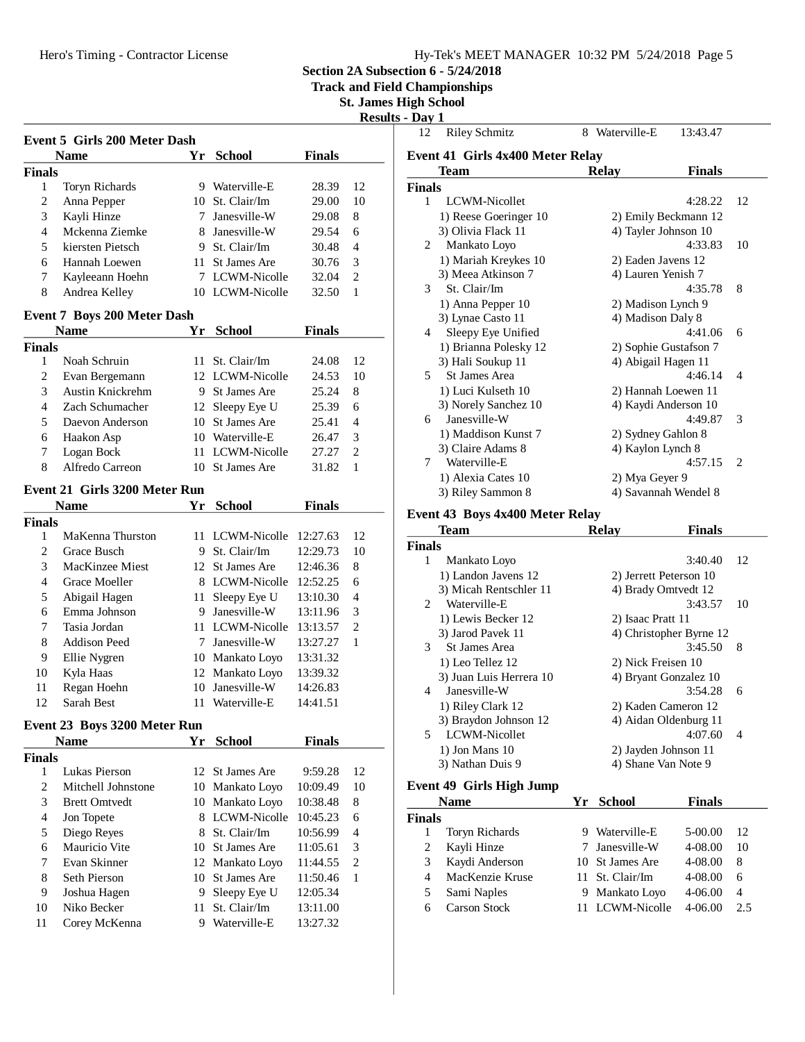|  | Hy-Tek's MEET MANAGER 10:32 PM 5/24/2018 Page 5 |  |  |
|--|-------------------------------------------------|--|--|
|  |                                                 |  |  |

**Section 2A Subsection 6 - 5/24/2018**<br>**Track and Field Championships** 

**Track and Field Championships**

**St. James High School**

|                | <b>Event 5 Girls 200 Meter Dash</b><br>Name |    | Yr School                | <b>Finals</b> |                |
|----------------|---------------------------------------------|----|--------------------------|---------------|----------------|
| <b>Finals</b>  |                                             |    |                          |               |                |
| 1              | Toryn Richards                              |    | 9 Waterville-E           | 28.39         | 12             |
| 2              | Anna Pepper                                 |    | 10 St. Clair/Im          | 29.00         | 10             |
| 3              | Kayli Hinze                                 |    | 7 Janesville-W           | 29.08         | 8              |
| 4              | Mckenna Ziemke                              |    | 8 Janesville-W           | 29.54         | 6              |
| 5              | kiersten Pietsch                            |    | 9 St. Clair/Im           | 30.48         | $\overline{4}$ |
| 6              | Hannah Loewen                               |    | 11 St James Are          | 30.76         | 3              |
| 7              | Kayleeann Hoehn                             |    | 7 LCWM-Nicolle           | 32.04         | $\mathfrak{2}$ |
| 8              | Andrea Kelley                               |    | 10 LCWM-Nicolle          | 32.50         | 1              |
|                |                                             |    |                          |               |                |
|                | <b>Event 7 Boys 200 Meter Dash</b>          |    |                          |               |                |
|                | <b>Name</b>                                 |    | Yr School                | <b>Finals</b> |                |
| <b>Finals</b>  |                                             |    |                          |               |                |
| 1              | Noah Schruin                                |    | 11 St. Clair/Im          | 24.08         | 12             |
| 2              | Evan Bergemann                              |    | 12 LCWM-Nicolle          | 24.53         | 10             |
| 3              | Austin Knickrehm                            |    | 9 St James Are           | 25.24         | 8              |
| 4              | Zach Schumacher                             |    | 12 Sleepy Eye U          | 25.39         | 6              |
| 5              | Daevon Anderson                             |    | 10 St James Are          | 25.41         | $\overline{4}$ |
| 6              | Haakon Asp                                  |    | 10 Waterville-E          | 26.47         | 3              |
| 7              | Logan Bock                                  |    | 11 LCWM-Nicolle          | 27.27         | 2              |
| 8              | Alfredo Carreon                             |    | 10 St James Are          | 31.82         | 1              |
|                | Event 21 Girls 3200 Meter Run               |    |                          |               |                |
|                | <b>Name</b>                                 |    | Yr School                | <b>Finals</b> |                |
| <b>Finals</b>  |                                             |    |                          |               |                |
| 1              | MaKenna Thurston                            |    | 11 LCWM-Nicolle 12:27.63 |               | 12             |
| 2              | Grace Busch                                 |    | 9 St. Clair/Im           | 12:29.73      | 10             |
| 3              | MacKinzee Miest                             |    | 12 St James Are          | 12:46.36      | 8              |
| 4              | Grace Moeller                               |    | 8 LCWM-Nicolle 12:52.25  |               | 6              |
| 5              | Abigail Hagen                               |    | 11 Sleepy Eye U 13:10.30 |               | $\overline{4}$ |
| 6              | Emma Johnson                                |    | 9 Janesville-W           | 13:11.96      | 3              |
| 7              | Tasia Jordan                                |    | 11 LCWM-Nicolle 13:13.57 |               | $\mathfrak{2}$ |
| 8              | Addison Peed                                |    | 7 Janesville-W           | 13:27.27      | 1              |
| 9              | Ellie Nygren                                |    | 10 Mankato Loyo          | 13:31.32      |                |
| 10             | Kyla Haas                                   |    | 12 Mankato Loyo          | 13:39.32      |                |
| 11             | Regan Hoehn                                 |    | 10 Janesville-W          | 14:26.83      |                |
| 12             | Sarah Best                                  |    | 11 Waterville-E          | 14:41.51      |                |
|                | Event 23 Boys 3200 Meter Run                |    |                          |               |                |
|                | <b>Name</b>                                 |    | Yr School                | <b>Finals</b> |                |
| <b>Finals</b>  |                                             |    |                          |               |                |
| 1              | Lukas Pierson                               |    | 12 St James Are          | 9:59.28       | 12             |
| 2              | Mitchell Johnstone                          |    | 10 Mankato Loyo          | 10:09.49      | 10             |
| 3              | <b>Brett Omtvedt</b>                        |    | 10 Mankato Loyo          | 10:38.48      | 8              |
| $\overline{4}$ | Jon Topete                                  |    | 8 LCWM-Nicolle           | 10:45.23      | 6              |
| 5              | Diego Reyes                                 |    | 8 St. Clair/Im           | 10:56.99      | 4              |
| 6              | Mauricio Vite                               |    | 10 St James Are          | 11:05.61      | 3              |
| 7              | Evan Skinner                                | 12 | Mankato Loyo             | 11:44.55      | $\mathfrak{2}$ |
| 8              | Seth Pierson                                | 10 | St James Are             | 11:50.46      | 1              |
| 9              | Joshua Hagen                                | 9. | Sleepy Eye U             | 12:05.34      |                |
|                | Niko Becker                                 | 11 | St. Clair/Im             | 13:11.00      |                |
| 10             |                                             |    |                          |               |                |

| <b>Riley Schmitz</b><br>12       | 8 Waterville-E | 13:43.47              |
|----------------------------------|----------------|-----------------------|
| Event 41 Girls 4x400 Meter Relay |                |                       |
| Team                             | <b>Relay</b>   | <b>Finals</b>         |
| <b>Finals</b>                    |                |                       |
| LCWM-Nicollet<br>1               |                | 4:28.22<br>12         |
| 1) Reese Goeringer 10            |                | 2) Emily Beckmann 12  |
| 3) Olivia Flack 11               |                | 4) Tayler Johnson 10  |
| Mankato Loyo<br>$\mathfrak{D}$   |                | 4:33.83<br>10         |
| 1) Mariah Kreykes 10             |                | 2) Eaden Javens 12    |
| 3) Meea Atkinson 7               |                | 4) Lauren Yenish 7    |
| St. Clair/Im<br>3                |                | 8<br>4:35.78          |
| 1) Anna Pepper 10                |                | 2) Madison Lynch 9    |
| 3) Lynae Casto 11                |                | 4) Madison Daly 8     |
| Sleepy Eye Unified<br>4          |                | 4:41.06<br>6          |
| 1) Brianna Polesky 12            |                | 2) Sophie Gustafson 7 |
| 3) Hali Soukup 11                |                | 4) Abigail Hagen 11   |
| St James Area<br>5               |                | 4:46.14<br>4          |
| 1) Luci Kulseth 10               |                | 2) Hannah Loewen 11   |
| 3) Norely Sanchez 10             |                | 4) Kaydi Anderson 10  |
| Janesville-W<br>6                |                | 4:49.87<br>3          |
| 1) Maddison Kunst 7              |                | 2) Sydney Gahlon 8    |
| 3) Claire Adams 8                |                | 4) Kaylon Lynch 8     |
| Waterville-E<br>7                |                | 4:57.15<br>2          |
| 1) Alexia Cates 10               |                | 2) Mya Geyer 9        |
| 3) Riley Sammon 8                |                | 4) Savannah Wendel 8  |

|                | Team                    | Relav             | Finals                  |                          |
|----------------|-------------------------|-------------------|-------------------------|--------------------------|
| <b>Finals</b>  |                         |                   |                         |                          |
| 1              | Mankato Loyo            |                   | 3:40.40                 | 12                       |
|                | 1) Landon Javens 12     |                   | 2) Jerrett Peterson 10  |                          |
|                | 3) Micah Rentschler 11  |                   | 4) Brady Omtvedt 12     |                          |
| $2^{\circ}$    | Waterville-E            |                   | 3:43.57                 | 10                       |
|                | 1) Lewis Becker 12      | 2) Isaac Pratt 11 |                         |                          |
|                | 3) Jarod Pavek 11       |                   | 4) Christopher Byrne 12 |                          |
| $\mathcal{F}$  | <b>St James Area</b>    |                   | 3:45.50                 | -8                       |
|                | 1) Leo Tellez 12        |                   | 2) Nick Freisen 10      |                          |
|                | 3) Juan Luis Herrera 10 |                   | 4) Bryant Gonzalez 10   |                          |
| $\overline{4}$ | Janesville-W            |                   | 3:54.28                 | 6                        |
|                | 1) Riley Clark 12       |                   | 2) Kaden Cameron 12     |                          |
|                | 3) Braydon Johnson 12   |                   | 4) Aidan Oldenburg 11   |                          |
| 5.             | LCWM-Nicollet           |                   | 4:07.60                 | $\overline{\mathcal{A}}$ |
|                | $1)$ Jon Mans $10$      |                   | 2) Jayden Johnson 11    |                          |
|                | 3) Nathan Duis 9        |                   | 4) Shane Van Note 9     |                          |
|                |                         |                   |                         |                          |

## **Event 49 Girls High Jump**

| <b>Finals</b>      |
|--------------------|
|                    |
| 5-00.00<br>12      |
| 4-08.00<br>10      |
| 4-08.00<br>8       |
| $4 - 08.00$<br>6   |
| $4 - 06.00$<br>4   |
| $4 - 06.00$<br>2.5 |
|                    |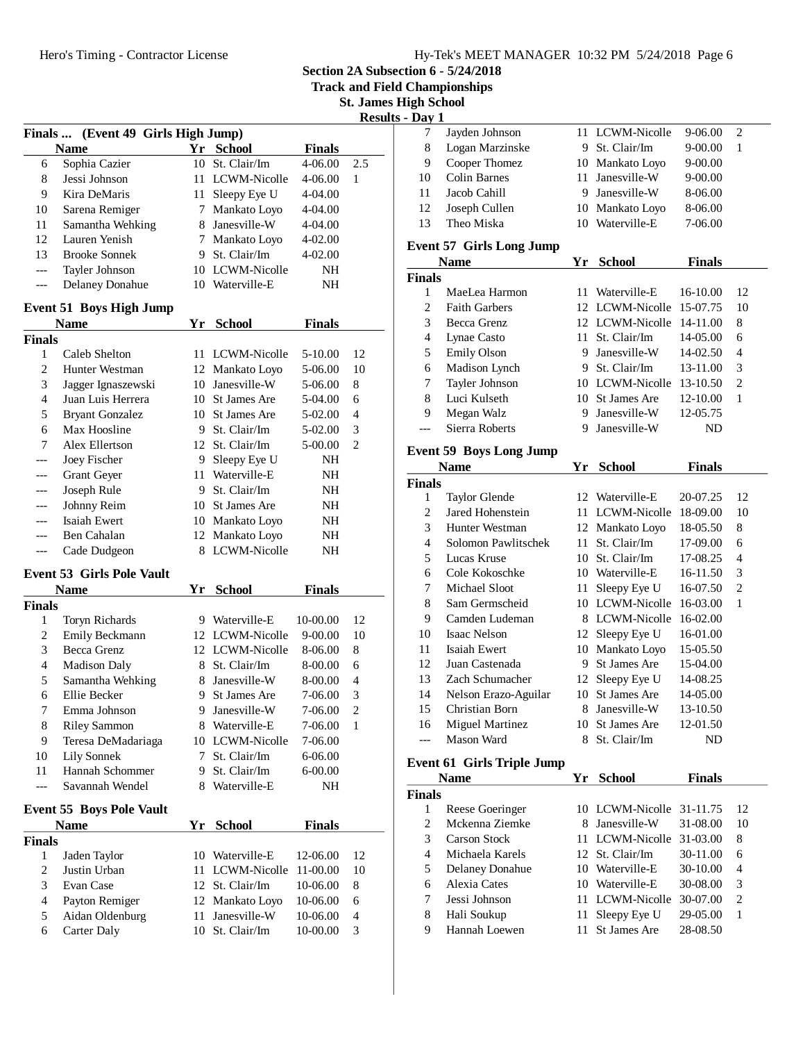**Section 2A Subsection 6 - 5/24/2018**

**Track and Field Championships**

**St. James High School Results - Day** 

| <b>Finals</b>            | (Event 49 Girls High Jump)       |    |                     |               |                |
|--------------------------|----------------------------------|----|---------------------|---------------|----------------|
|                          | <b>Name</b>                      | Yr | <b>School</b>       | <b>Finals</b> |                |
| 6                        | Sophia Cazier                    | 10 | St. Clair/Im        | 4-06.00       | 2.5            |
| 8                        | Jessi Johnson                    |    | 11 LCWM-Nicolle     | 4-06.00       | 1              |
| 9                        | Kira DeMaris                     |    | 11 Sleepy Eye U     | 4-04.00       |                |
| 10                       | Sarena Remiger                   | 7  | Mankato Loyo        | 4-04.00       |                |
| 11                       | Samantha Wehking                 | 8  | Janesville-W        | 4-04.00       |                |
| 12                       | Lauren Yenish                    |    | 7 Mankato Loyo      | 4-02.00       |                |
| 13                       | <b>Brooke Sonnek</b>             |    | 9 St. Clair/Im      | 4-02.00       |                |
| ---                      | Tayler Johnson                   |    | 10 LCWM-Nicolle     | NΗ            |                |
| ---                      | <b>Delaney Donahue</b>           |    | 10 Waterville-E     | NΗ            |                |
|                          | <b>Event 51 Boys High Jump</b>   |    |                     |               |                |
|                          | <b>Name</b>                      | Yr | <b>School</b>       | <b>Finals</b> |                |
| <b>Finals</b>            |                                  |    |                     |               |                |
| 1                        | Caleb Shelton                    | 11 | LCWM-Nicolle        | 5-10.00       | 12             |
| $\mathfrak{2}$           | Hunter Westman                   |    | 12 Mankato Loyo     | 5-06.00       | 10             |
| 3                        | Jagger Ignaszewski               |    | 10 Janesville-W     | 5-06.00       | 8              |
| 4                        | Juan Luis Herrera                |    | 10 St James Are     | 5-04.00       | 6              |
| 5                        | <b>Bryant Gonzalez</b>           |    | 10 St James Are     | 5-02.00       | 4              |
| 6                        | Max Hoosline                     |    | 9 St. Clair/Im      | 5-02.00       | 3              |
| 7                        | Alex Ellertson                   |    | 12 St. Clair/Im     | 5-00.00       | $\overline{2}$ |
| ---                      | Joey Fischer                     |    | 9 Sleepy Eye U      | NΗ            |                |
| ---                      | Grant Geyer                      |    | 11 Waterville-E     | NΗ            |                |
| ---                      | Joseph Rule                      |    | 9 St. Clair/Im      | NH            |                |
| ---                      | Johnny Reim                      |    | 10 St James Are     | NH            |                |
|                          | <b>Isaiah Ewert</b>              |    | 10 Mankato Loyo     | NH            |                |
| ---                      | Ben Cahalan                      |    | 12 Mankato Loyo     | NH            |                |
| ---                      | Cade Dudgeon                     | 8  | LCWM-Nicolle        | NΗ            |                |
|                          |                                  |    |                     |               |                |
|                          | <b>Event 53 Girls Pole Vault</b> |    |                     |               |                |
|                          | <b>Name</b>                      |    | Yr School           | <b>Finals</b> |                |
| <b>Finals</b>            |                                  |    |                     |               |                |
| 1                        | Toryn Richards                   |    | 9 Waterville-E      | 10-00.00      | 12             |
| 2                        | Emily Beckmann                   |    | 12 LCWM-Nicolle     | 9-00.00       | 10             |
| 3                        | <b>Becca Grenz</b>               |    | 12 LCWM-Nicolle     | 8-06.00       | 8              |
| $\overline{\mathcal{L}}$ | <b>Madison Daly</b>              |    | 8 St. Clair/Im      | 8-00.00       | 6              |
| 5                        | Samantha Wehking                 |    | 8 Janesville-W      | 8-00.00       | 4              |
| 6                        | Ellie Becker                     |    | 9 St James Are      | 7-06.00       | 3              |
| 7                        | Emma Johnson                     | 9  | Janesville-W        | 7-06.00       | $\overline{2}$ |
| 8                        | <b>Riley Sammon</b>              | 8  | Waterville-E        | 7-06.00       | 1              |
| 9                        | Teresa DeMadariaga               | 10 | LCWM-Nicolle        | 7-06.00       |                |
| 10                       | Lily Sonnek                      | 7  | St. Clair/Im        | 6-06.00       |                |
| 11                       | Hannah Schommer                  | 9. | St. Clair/Im        | $6 - 00.00$   |                |
| ---                      | Savannah Wendel                  | 8  | Waterville-E        | NH            |                |
|                          | <b>Event 55 Boys Pole Vault</b>  |    |                     |               |                |
|                          | <b>Name</b>                      | Yr | <b>School</b>       | <b>Finals</b> |                |
| <b>Finals</b>            |                                  |    |                     |               |                |
| 1                        | Jaden Taylor                     |    | 10 Waterville-E     | 12-06.00      | 12             |
| $\boldsymbol{2}$         | Justin Urban                     | 11 | <b>LCWM-Nicolle</b> | 11-00.00      | 10             |
| 3                        | Evan Case                        | 12 | St. Clair/Im        | 10-06.00      | 8              |
| $\overline{4}$           | Payton Remiger                   |    | 12 Mankato Loyo     | 10-06.00      | 6              |
| 5                        | Aidan Oldenburg                  | 11 | Janesville-W        | 10-06.00      | $\overline{4}$ |
| 6                        | <b>Carter Daly</b>               |    | 10 St. Clair/Im     | 10-00.00      | 3              |
|                          |                                  |    |                     |               |                |

| Dav 1 |                 |                 |             |   |  |
|-------|-----------------|-----------------|-------------|---|--|
|       | Jayden Johnson  | 11 LCWM-Nicolle | $9-06.00$   | 2 |  |
| 8     | Logan Marzinske | 9 St. Clair/Im  | $9 - 00.00$ |   |  |
| 9     | Cooper Thomez   | 10 Mankato Loyo | $9 - 00.00$ |   |  |
| 10    | Colin Barnes    | 11 Janesville-W | $9 - 00.00$ |   |  |
| 11    | Jacob Cahill    | 9 Janesville-W  | 8-06.00     |   |  |
| 12    | Joseph Cullen   | 10 Mankato Loyo | 8-06.00     |   |  |
| 13    | Theo Miska      | 10 Waterville-E | 7-06.00     |   |  |
|       |                 |                 |             |   |  |

## **Event 57 Girls Long Jump**

|        | <b>Name</b>          | Yг  | <b>School</b>            | <b>Finals</b> |                             |
|--------|----------------------|-----|--------------------------|---------------|-----------------------------|
| Finals |                      |     |                          |               |                             |
|        | MaeI ea Harmon       | 11. | Waterville-E             | 16-10.00      | 12                          |
| 2      | <b>Faith Garbers</b> |     | 12 LCWM-Nicolle 15-07.75 |               | 10                          |
| 3      | Becca Grenz          |     | 12 LCWM-Nicolle 14-11.00 |               | 8                           |
| 4      | Lynae Casto          |     | 11 St. Clair/Im          | $14 - 05.00$  | 6                           |
| 5      | <b>Emily Olson</b>   |     | 9 Janesville-W           | 14-02.50      | 4                           |
| 6      | Madison Lynch        |     | 9 St. Clair/Im           | 13-11.00      | 3                           |
| 7      | Tayler Johnson       |     | 10 LCWM-Nicolle          | $13 - 10.50$  | $\mathcal{D}_{\mathcal{L}}$ |
| 8      | Luci Kulseth         |     | 10 St James Are          | 12-10.00      | 1                           |
| 9      | Megan Walz           |     | Janesville-W             | 12-05.75      |                             |
|        | Sierra Roberts       |     | Janesville-W             | ND            |                             |

## **Event 59 Boys Long Jump**

|                      |               | <b>School</b>       | <b>Finals</b>                                      |                |
|----------------------|---------------|---------------------|----------------------------------------------------|----------------|
|                      |               |                     |                                                    |                |
| <b>Taylor Glende</b> |               |                     | 20-07.25                                           | 12             |
| Jared Hohenstein     | 11            | LCWM-Nicolle        | 18-09.00                                           | 10             |
| Hunter Westman       |               |                     | 18-05.50                                           | 8              |
| Solomon Pawlitschek  | 11            | St. Clair/Im        | 17-09.00                                           | 6              |
| Lucas Kruse          | 10            | St. Clair/Im        | 17-08.25                                           | 4              |
| Cole Kokoschke       | 10            | Waterville-E        | 16-11.50                                           | 3              |
| Michael Sloot        | 11            | Sleepy Eye U        | 16-07.50                                           | $\overline{c}$ |
| Sam Germscheid       | 10            | LCWM-Nicolle        | $16-03.00$                                         | 1              |
| Camden Ludeman       | 8             | LCWM-Nicolle        | 16-02.00                                           |                |
| Isaac Nelson         | 12            |                     | 16-01.00                                           |                |
| Isaiah Ewert         | 10            | Mankato Loyo        | 15-05.50                                           |                |
| Juan Castenada       | 9             | <b>St James Are</b> | 15-04.00                                           |                |
| Zach Schumacher      | 12            | Sleepy Eye U        | 14-08.25                                           |                |
| Nelson Erazo-Aguilar | 10            | St James Are        | 14-05.00                                           |                |
| Christian Born       | 8             | Janesville-W        | 13-10.50                                           |                |
| Miguel Martinez      | 10            | <b>St James Are</b> | 12-01.50                                           |                |
| Mason Ward           | 8             | St. Clair/Im        | ND                                                 |                |
|                      | <b>Finals</b> |                     | 12 Waterville-E<br>12 Mankato Loyo<br>Sleepy Eye U |                |

## **Event 61 Girls Triple Jump**

|               | <b>Name</b>     | Үr  | School                   | <b>Finals</b> |                |
|---------------|-----------------|-----|--------------------------|---------------|----------------|
| <b>Finals</b> |                 |     |                          |               |                |
|               | Reese Goeringer |     | 10 LCWM-Nicolle 31-11.75 |               | 12             |
| 2             | Mckenna Ziemke  |     | 8 Janesville-W           | 31-08.00      | 10             |
| $\mathcal{F}$ | Carson Stock    |     | 11 LCWM-Nicolle 31-03.00 |               | 8              |
| 4             | Michaela Karels |     | 12 St. Clair/Im          | 30-11.00      | 6              |
| 5             | Delaney Donahue |     | 10 Waterville-E          | 30-10.00      | $\overline{4}$ |
| 6             | Alexia Cates    | 10  | Waterville-E             | 30-08.00      | 3              |
|               | Jessi Johnson   |     | LCWM-Nicolle             | 30-07.00      | 2              |
| 8             | Hali Soukup     | 11. | Sleepy Eye U             | 29-05.00      |                |
| 9             | Hannah Loewen   |     | St James Are             | 28-08.50      |                |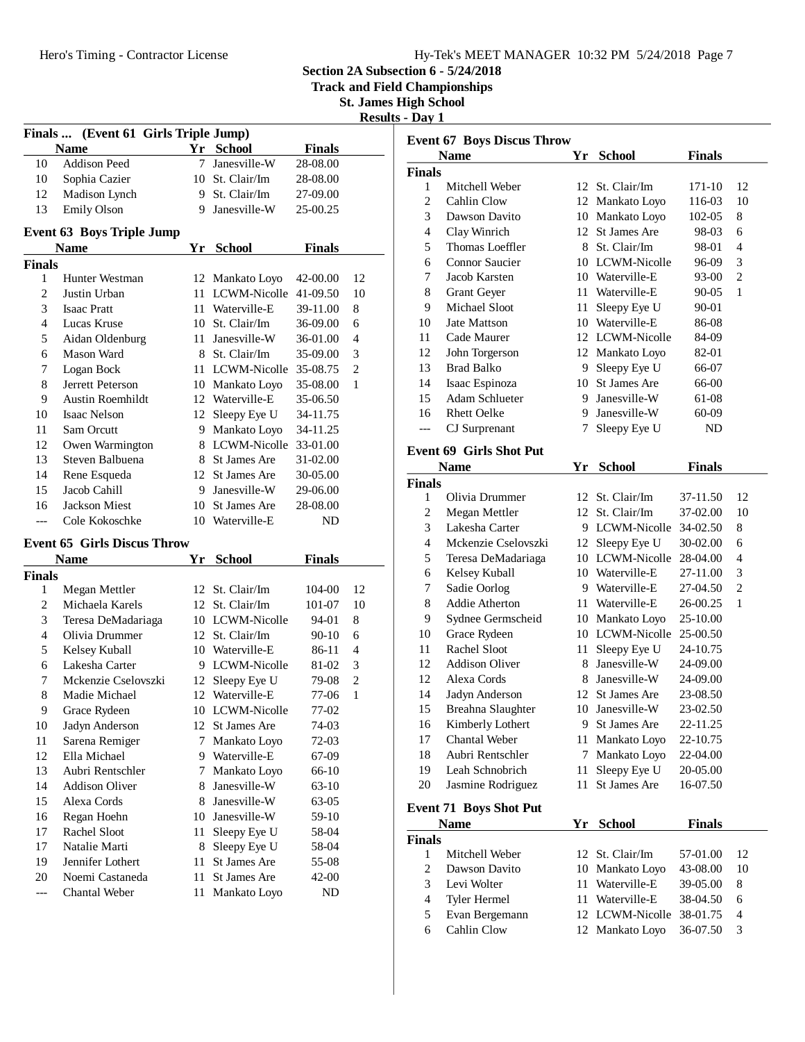**Section 2A Subsection 6 - 5/24/2018**

**Track and Field Championships**

**St. James High School**

| Results - | Dav |  |
|-----------|-----|--|
|           |     |  |

| Finals  (Event 61 Girls Triple Jump) |                                      |          |                              |                    |                |  |  |
|--------------------------------------|--------------------------------------|----------|------------------------------|--------------------|----------------|--|--|
|                                      | <b>Name</b>                          |          | Yr School                    | <b>Finals</b>      |                |  |  |
| 10                                   | <b>Addison Peed</b>                  | 7        | Janesville-W                 | 28-08.00           |                |  |  |
| 10                                   | Sophia Cazier                        |          | 10 St. Clair/Im              | 28-08.00           |                |  |  |
| 12                                   | Madison Lynch                        |          | 9 St. Clair/Im               | 27-09.00           |                |  |  |
| 13                                   | <b>Emily Olson</b>                   | 9.       | Janesville-W                 | 25-00.25           |                |  |  |
|                                      |                                      |          |                              |                    |                |  |  |
|                                      | <b>Event 63 Boys Triple Jump</b>     |          |                              |                    |                |  |  |
|                                      | <b>Name</b>                          | Yr       | <b>School</b>                | <b>Finals</b>      |                |  |  |
| <b>Finals</b>                        |                                      |          |                              |                    |                |  |  |
| 1                                    | Hunter Westman                       | 12       | Mankato Loyo                 | 42-00.00           | 12             |  |  |
| $\overline{2}$                       | Justin Urban                         | 11       | LCWM-Nicolle                 | 41-09.50           | 10             |  |  |
| 3                                    | <b>Isaac Pratt</b>                   | 11       | Waterville-E                 | 39-11.00           | 8              |  |  |
| 4                                    | Lucas Kruse                          |          | 10 St. Clair/Im              | 36-09.00           | 6              |  |  |
| 5                                    | Aidan Oldenburg                      | 11       | Janesville-W                 | 36-01.00           | 4              |  |  |
| 6                                    | Mason Ward                           |          | 8 St. Clair/Im               | 35-09.00           | 3              |  |  |
| 7                                    | Logan Bock                           | 11       | LCWM-Nicolle                 | 35-08.75           | $\overline{c}$ |  |  |
| 8                                    | Jerrett Peterson                     |          | 10 Mankato Loyo              | 35-08.00           | 1              |  |  |
| 9                                    | <b>Austin Roemhildt</b>              |          | 12 Waterville-E              | 35-06.50           |                |  |  |
| 10                                   | Isaac Nelson                         | 12       | Sleepy Eye U                 | 34-11.75           |                |  |  |
| 11                                   | Sam Orcutt                           | 9.       | Mankato Loyo                 | 34-11.25           |                |  |  |
| 12                                   | Owen Warmington                      |          | 8 LCWM-Nicolle               | 33-01.00           |                |  |  |
| 13                                   | Steven Balbuena                      |          | 8 St James Are               | 31-02.00           |                |  |  |
| 14                                   | Rene Esqueda                         |          | 12 St James Are              | 30-05.00           |                |  |  |
| 15                                   | Jacob Cahill                         | 9        | Janesville-W                 | 29-06.00           |                |  |  |
| 16                                   | <b>Jackson Miest</b>                 | 10       | St James Are                 | 28-08.00           |                |  |  |
| ---                                  | Cole Kokoschke                       | 10       | Waterville-E                 | ND                 |                |  |  |
|                                      |                                      |          |                              |                    |                |  |  |
|                                      | <b>Event 65 Girls Discus Throw</b>   |          |                              |                    |                |  |  |
|                                      |                                      |          |                              |                    |                |  |  |
|                                      | <b>Name</b>                          | Yr       | <b>School</b>                | <b>Finals</b>      |                |  |  |
| <b>Finals</b><br>1                   |                                      | 12       | St. Clair/Im                 | 104-00             | 12             |  |  |
|                                      | Megan Mettler<br>Michaela Karels     | 12       | St. Clair/Im                 |                    | 10             |  |  |
| 2<br>3                               |                                      |          | 10 LCWM-Nicolle              | 101-07             | 8              |  |  |
| $\overline{4}$                       | Teresa DeMadariaga<br>Olivia Drummer |          | 12 St. Clair/Im              | 94-01              | 6              |  |  |
|                                      |                                      |          | 10 Waterville-E              | $90 - 10$<br>86-11 | 4              |  |  |
| 5<br>6                               | Kelsey Kuball<br>Lakesha Carter      | 9.       | LCWM-Nicolle                 | 81-02              | 3              |  |  |
| 7                                    | Mckenzie Cselovszki                  | 12       |                              |                    | $\overline{c}$ |  |  |
| 8                                    | Madie Michael                        |          | Sleepy Eye U                 | 79-08              | 1              |  |  |
| 9                                    |                                      |          | 12 Waterville-E              | 77-06              |                |  |  |
|                                      | Grace Rydeen                         | 12       | 10 LCWM-Nicolle              | 77-02              |                |  |  |
| 10                                   | Jadyn Anderson                       | 7        | St James Are                 | 74-03              |                |  |  |
| 11                                   | Sarena Remiger                       | 9.       | Mankato Loyo                 | 72-03              |                |  |  |
| 12                                   | Ella Michael                         |          | Waterville-E                 | 67-09              |                |  |  |
| 13                                   | Aubri Rentschler                     | 7        | Mankato Loyo                 | 66-10              |                |  |  |
| 14                                   | <b>Addison Oliver</b><br>Alexa Cords | 8<br>8   | Janesville-W                 | $63-10$            |                |  |  |
| 15                                   |                                      |          | Janesville-W                 | 63-05              |                |  |  |
| 16                                   | Regan Hoehn                          | 10       | Janesville-W                 | 59-10              |                |  |  |
| 17                                   | Rachel Sloot<br>Natalie Marti        | 11       | Sleepy Eye U                 | 58-04              |                |  |  |
| 17                                   |                                      | 8        | Sleepy Eye U                 | 58-04              |                |  |  |
| 19                                   | Jennifer Lothert                     | 11       | St James Are                 | 55-08              |                |  |  |
| 20                                   | Noemi Castaneda<br>Chantal Weber     | 11<br>11 | St James Are<br>Mankato Loyo | 42-00<br>ND        |                |  |  |

| <b>Event 67 Boys Discus Throw</b> |                                |    |                 |               |                |  |
|-----------------------------------|--------------------------------|----|-----------------|---------------|----------------|--|
|                                   | <b>Name</b>                    |    | Yr School       | <b>Finals</b> |                |  |
| <b>Finals</b>                     |                                |    |                 |               |                |  |
| 1                                 | Mitchell Weber                 |    | 12 St. Clair/Im | 171-10        | 12             |  |
| 2                                 | Cahlin Clow                    |    | 12 Mankato Loyo | 116-03        | 10             |  |
| 3                                 | Dawson Davito                  |    | 10 Mankato Loyo | 102-05        | 8              |  |
| 4                                 | Clay Winrich                   |    | 12 St James Are | 98-03         | 6              |  |
| 5                                 | Thomas Loeffler                |    | 8 St. Clair/Im  | 98-01         | 4              |  |
| 6                                 | <b>Connor Saucier</b>          |    | 10 LCWM-Nicolle | 96-09         | 3              |  |
| 7                                 | Jacob Karsten                  |    | 10 Waterville-E | 93-00         | $\mathbf{2}$   |  |
| 8                                 | <b>Grant Geyer</b>             |    | 11 Waterville-E | 90-05         | 1              |  |
| 9                                 | Michael Sloot                  | 11 | Sleepy Eye U    | 90-01         |                |  |
| 10                                | <b>Jate Mattson</b>            |    | 10 Waterville-E | 86-08         |                |  |
| 11                                | Cade Maurer                    |    | 12 LCWM-Nicolle | 84-09         |                |  |
| 12                                | John Torgerson                 |    | 12 Mankato Loyo | 82-01         |                |  |
| 13                                | Brad Balko                     |    | 9 Sleepy Eye U  | 66-07         |                |  |
| 14                                | Isaac Espinoza                 |    | 10 St James Are | 66-00         |                |  |
| 15                                | <b>Adam Schlueter</b>          |    | 9 Janesville-W  | 61-08         |                |  |
| 16                                | <b>Rhett Oelke</b>             |    | 9 Janesville-W  | 60-09         |                |  |
| ---                               | CJ Surprenant                  | 7  | Sleepy Eye U    | ND            |                |  |
|                                   | <b>Event 69 Girls Shot Put</b> |    |                 |               |                |  |
|                                   | <b>Name</b>                    | Yr | <b>School</b>   | <b>Finals</b> |                |  |
| <b>Finals</b>                     |                                |    |                 |               |                |  |
| 1                                 | Olivia Drummer                 |    | 12 St. Clair/Im | 37-11.50      | 12             |  |
| 2                                 | Megan Mettler                  | 12 | St. Clair/Im    | 37-02.00      | 10             |  |
| 3                                 | Lakesha Carter                 |    | 9 LCWM-Nicolle  | 34-02.50      | 8              |  |
| 4                                 | Mckenzie Cselovszki            | 12 | Sleepy Eye U    | 30-02.00      | 6              |  |
| 5                                 | Teresa DeMadariaga             |    | 10 LCWM-Nicolle | 28-04.00      | 4              |  |
| 6                                 | Kelsey Kuball                  |    | 10 Waterville-E | 27-11.00      | 3              |  |
| 7                                 | Sadie Oorlog                   |    | 9 Waterville-E  | 27-04.50      | $\overline{c}$ |  |
| 8                                 | <b>Addie Atherton</b>          |    | 11 Waterville-E | 26-00.25      | $\mathbf{1}$   |  |
| 9                                 | Sydnee Germscheid              |    | 10 Mankato Loyo | 25-10.00      |                |  |
| 10                                | Grace Rydeen                   |    | 10 LCWM-Nicolle | 25-00.50      |                |  |
| 11                                | Rachel Sloot                   | 11 | Sleepy Eye U    | 24-10.75      |                |  |
| 12                                | <b>Addison Oliver</b>          |    | 8 Janesville-W  | 24-09.00      |                |  |
| 12                                | Alexa Cords                    |    | 8 Janesville-W  | 24-09.00      |                |  |
| 14                                | Jadyn Anderson                 |    | 12 St James Are | 23-08.50      |                |  |
| 15                                | Breahna Slaughter              |    | 10 Janesville-W | 23-02.50      |                |  |
| 16                                | Kimberly Lothert               | 9  | St James Are    | 22-11.25      |                |  |
| 17                                | Chantal Weber                  | 11 | Mankato Loyo    | 22-10.75      |                |  |
| 18                                | Aubri Rentschler               | 7  | Mankato Loyo    | 22-04.00      |                |  |
| 19                                | Leah Schnobrich                | 11 | Sleepy Eye U    | 20-05.00      |                |  |
| 20                                | Jasmine Rodriguez              | 11 | St James Are    | 16-07.50      |                |  |
|                                   |                                |    |                 |               |                |  |
|                                   | <b>Event 71 Boys Shot Put</b>  |    |                 |               |                |  |
|                                   | <b>Name</b>                    | Yr | <b>School</b>   | <b>Finals</b> |                |  |
| <b>Finals</b>                     |                                |    |                 |               |                |  |
| 1                                 | Mitchell Weber                 |    | 12 St. Clair/Im | 57-01.00      | 12             |  |
| 2                                 | Dawson Davito                  | 10 | Mankato Loyo    | 43-08.00      | 10             |  |
| 3                                 | Levi Wolter                    | 11 | Waterville-E    | 39-05.00      | 8              |  |
| $\overline{4}$                    | Tyler Hermel                   | 11 | Waterville-E    | 38-04.50      | 6              |  |
| 5                                 | Evan Bergemann                 |    | 12 LCWM-Nicolle | 38-01.75      | 4              |  |
| 6                                 | Cahlin Clow                    | 12 | Mankato Loyo    | 36-07.50      | 3              |  |